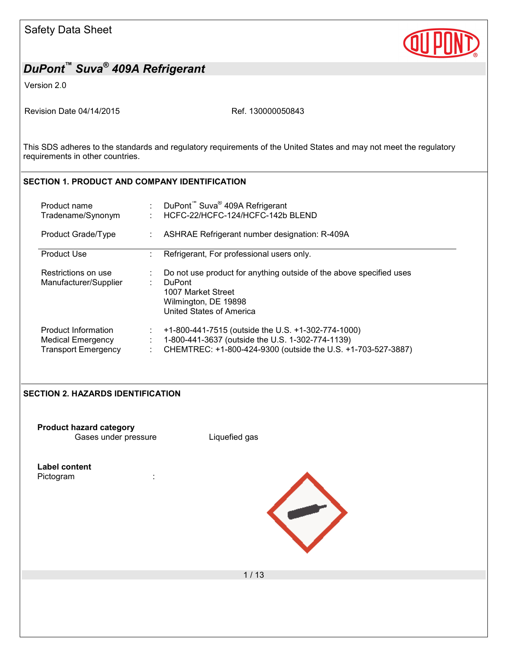

Version 2.0

Revision Date 04/14/2015 Ref. 130000050843

This SDS adheres to the standards and regulatory requirements of the United States and may not meet the regulatory requirements in other countries.

### **SECTION 1. PRODUCT AND COMPANY IDENTIFICATION**

| Product name<br>Tradename/Synonym                                      | DuPont <sup>™</sup> Suva <sup>®</sup> 409A Refrigerant<br>HCFC-22/HCFC-124/HCFC-142b BLEND                                                                             |
|------------------------------------------------------------------------|------------------------------------------------------------------------------------------------------------------------------------------------------------------------|
| Product Grade/Type                                                     | ASHRAE Refrigerant number designation: R-409A                                                                                                                          |
| <b>Product Use</b>                                                     | Refrigerant, For professional users only.                                                                                                                              |
| Restrictions on use<br>Manufacturer/Supplier                           | Do not use product for anything outside of the above specified uses<br><b>DuPont</b><br>1007 Market Street<br>Wilmington, DE 19898<br>United States of America         |
| Product Information<br>Medical Emergency<br><b>Transport Emergency</b> | +1-800-441-7515 (outside the U.S. +1-302-774-1000)<br>1-800-441-3637 (outside the U.S. 1-302-774-1139)<br>CHEMTREC: +1-800-424-9300 (outside the U.S. +1-703-527-3887) |

#### **SECTION 2. HAZARDS IDENTIFICATION**

**Product hazard category** Gases under pressure **Liquefied gas** 

**Label content**

Pictogram in the set of the set of the set of the set of the set of the set of the set of the set of the set o

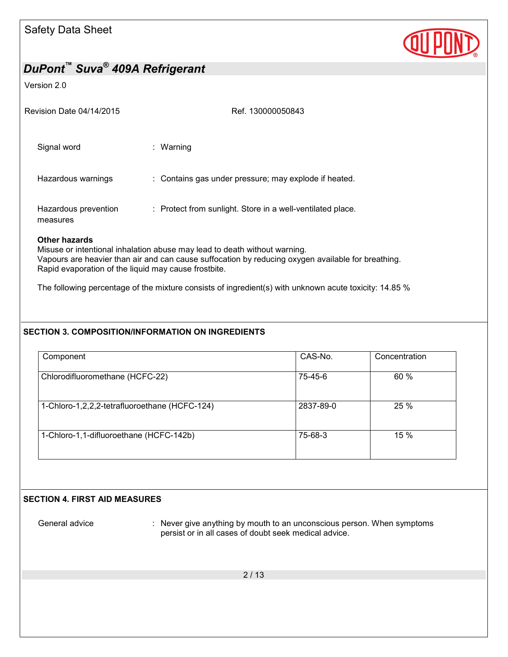

#### Version 2.0

| Revision Date 04/14/2015         | Ref. 130000050843                                          |
|----------------------------------|------------------------------------------------------------|
| Signal word                      | : Warning                                                  |
| Hazardous warnings               | : Contains gas under pressure; may explode if heated.      |
| Hazardous prevention<br>measures | : Protect from sunlight. Store in a well-ventilated place. |

### **Other hazards**

Misuse or intentional inhalation abuse may lead to death without warning. Vapours are heavier than air and can cause suffocation by reducing oxygen available for breathing. Rapid evaporation of the liquid may cause frostbite.

The following percentage of the mixture consists of ingredient(s) with unknown acute toxicity: 14.85 %

### **SECTION 3. COMPOSITION/INFORMATION ON INGREDIENTS**

| Component                                     | CAS-No.   | Concentration |
|-----------------------------------------------|-----------|---------------|
| Chlorodifluoromethane (HCFC-22)               | 75-45-6   | 60 %          |
| 1-Chloro-1,2,2,2-tetrafluoroethane (HCFC-124) | 2837-89-0 | 25 %          |
| 1-Chloro-1,1-difluoroethane (HCFC-142b)       | 75-68-3   | 15 %          |

#### **SECTION 4. FIRST AID MEASURES**

General advice : Never give anything by mouth to an unconscious person. When symptoms persist or in all cases of doubt seek medical advice.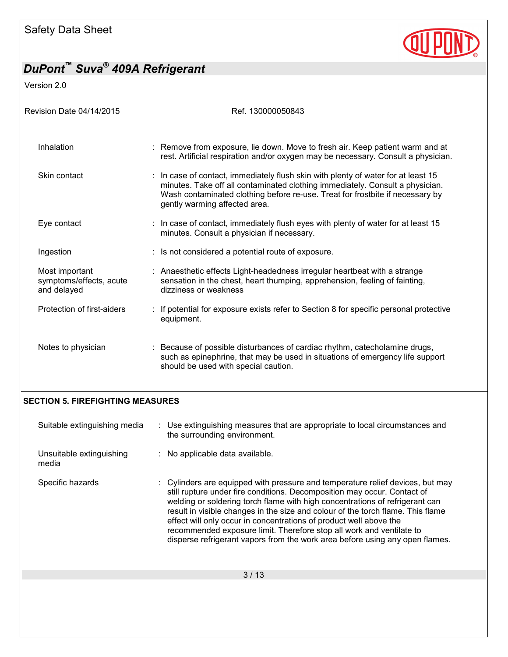

Version 2.0

| Revision Date 04/14/2015                                 | Ref. 130000050843                                                                                                                                                                                                                                                                    |
|----------------------------------------------------------|--------------------------------------------------------------------------------------------------------------------------------------------------------------------------------------------------------------------------------------------------------------------------------------|
| Inhalation                                               | : Remove from exposure, lie down. Move to fresh air. Keep patient warm and at<br>rest. Artificial respiration and/or oxygen may be necessary. Consult a physician.                                                                                                                   |
| Skin contact                                             | : In case of contact, immediately flush skin with plenty of water for at least 15<br>minutes. Take off all contaminated clothing immediately. Consult a physician.<br>Wash contaminated clothing before re-use. Treat for frostbite if necessary by<br>gently warming affected area. |
| Eye contact                                              | : In case of contact, immediately flush eyes with plenty of water for at least 15<br>minutes. Consult a physician if necessary.                                                                                                                                                      |
| Ingestion                                                | : Is not considered a potential route of exposure.                                                                                                                                                                                                                                   |
| Most important<br>symptoms/effects, acute<br>and delayed | : Anaesthetic effects Light-headedness irregular heartbeat with a strange<br>sensation in the chest, heart thumping, apprehension, feeling of fainting,<br>dizziness or weakness                                                                                                     |
| Protection of first-aiders                               | If potential for exposure exists refer to Section 8 for specific personal protective<br>equipment.                                                                                                                                                                                   |
| Notes to physician                                       | : Because of possible disturbances of cardiac rhythm, catecholamine drugs,<br>such as epinephrine, that may be used in situations of emergency life support<br>should be used with special caution.                                                                                  |

## **SECTION 5. FIREFIGHTING MEASURES**

| Suitable extinguishing media      | : Use extinguishing measures that are appropriate to local circumstances and<br>the surrounding environment.                                                                                                                                                                                                                                                                                                                                                                                                                                                |  |
|-----------------------------------|-------------------------------------------------------------------------------------------------------------------------------------------------------------------------------------------------------------------------------------------------------------------------------------------------------------------------------------------------------------------------------------------------------------------------------------------------------------------------------------------------------------------------------------------------------------|--|
| Unsuitable extinguishing<br>media | : No applicable data available.                                                                                                                                                                                                                                                                                                                                                                                                                                                                                                                             |  |
| Specific hazards                  | : Cylinders are equipped with pressure and temperature relief devices, but may<br>still rupture under fire conditions. Decomposition may occur. Contact of<br>welding or soldering torch flame with high concentrations of refrigerant can<br>result in visible changes in the size and colour of the torch flame. This flame<br>effect will only occur in concentrations of product well above the<br>recommended exposure limit. Therefore stop all work and ventilate to<br>disperse refrigerant vapors from the work area before using any open flames. |  |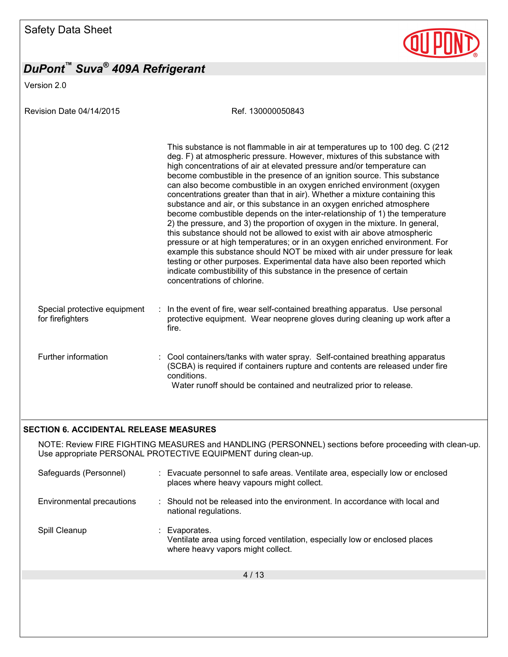Version 2.0

Revision Date 04/14/2015 Ref. 130000050843

|                                                  |   | This substance is not flammable in air at temperatures up to 100 deg. C (212<br>deg. F) at atmospheric pressure. However, mixtures of this substance with<br>high concentrations of air at elevated pressure and/or temperature can<br>become combustible in the presence of an ignition source. This substance<br>can also become combustible in an oxygen enriched environment (oxygen<br>concentrations greater than that in air). Whether a mixture containing this<br>substance and air, or this substance in an oxygen enriched atmosphere<br>become combustible depends on the inter-relationship of 1) the temperature<br>2) the pressure, and 3) the proportion of oxygen in the mixture. In general,<br>this substance should not be allowed to exist with air above atmospheric<br>pressure or at high temperatures; or in an oxygen enriched environment. For<br>example this substance should NOT be mixed with air under pressure for leak<br>testing or other purposes. Experimental data have also been reported which<br>indicate combustibility of this substance in the presence of certain<br>concentrations of chlorine. |
|--------------------------------------------------|---|-----------------------------------------------------------------------------------------------------------------------------------------------------------------------------------------------------------------------------------------------------------------------------------------------------------------------------------------------------------------------------------------------------------------------------------------------------------------------------------------------------------------------------------------------------------------------------------------------------------------------------------------------------------------------------------------------------------------------------------------------------------------------------------------------------------------------------------------------------------------------------------------------------------------------------------------------------------------------------------------------------------------------------------------------------------------------------------------------------------------------------------------------|
| Special protective equipment<br>for firefighters | ÷ | In the event of fire, wear self-contained breathing apparatus. Use personal<br>protective equipment. Wear neoprene gloves during cleaning up work after a<br>fire.                                                                                                                                                                                                                                                                                                                                                                                                                                                                                                                                                                                                                                                                                                                                                                                                                                                                                                                                                                            |
| Further information                              |   | : Cool containers/tanks with water spray. Self-contained breathing apparatus<br>(SCBA) is required if containers rupture and contents are released under fire<br>conditions.<br>Water runoff should be contained and neutralized prior to release.                                                                                                                                                                                                                                                                                                                                                                                                                                                                                                                                                                                                                                                                                                                                                                                                                                                                                            |

### **SECTION 6. ACCIDENTAL RELEASE MEASURES**

NOTE: Review FIRE FIGHTING MEASURES and HANDLING (PERSONNEL) sections before proceeding with clean-up. Use appropriate PERSONAL PROTECTIVE EQUIPMENT during clean-up.

| Safeguards (Personnel)    | : Evacuate personnel to safe areas. Ventilate area, especially low or enclosed<br>places where heavy vapours might collect.    |
|---------------------------|--------------------------------------------------------------------------------------------------------------------------------|
| Environmental precautions | : Should not be released into the environment. In accordance with local and<br>national regulations.                           |
| Spill Cleanup             | Evaporates.<br>Ventilate area using forced ventilation, especially low or enclosed places<br>where heavy vapors might collect. |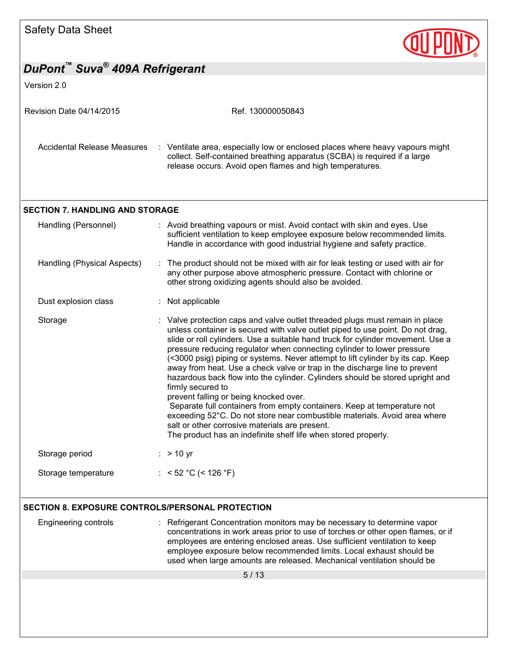| Safety Data Sheet                                |                                                                                                                                                                                                                                                                                                                                                                                                                                                                                                                                                                                                                                                                                                                                                                                                                                                                                                                          |  |
|--------------------------------------------------|--------------------------------------------------------------------------------------------------------------------------------------------------------------------------------------------------------------------------------------------------------------------------------------------------------------------------------------------------------------------------------------------------------------------------------------------------------------------------------------------------------------------------------------------------------------------------------------------------------------------------------------------------------------------------------------------------------------------------------------------------------------------------------------------------------------------------------------------------------------------------------------------------------------------------|--|
| DuPont™ Suva <sup>®</sup> 409A Refrigerant       |                                                                                                                                                                                                                                                                                                                                                                                                                                                                                                                                                                                                                                                                                                                                                                                                                                                                                                                          |  |
| Version 2.0                                      |                                                                                                                                                                                                                                                                                                                                                                                                                                                                                                                                                                                                                                                                                                                                                                                                                                                                                                                          |  |
| Revision Date 04/14/2015                         | Ref. 130000050843                                                                                                                                                                                                                                                                                                                                                                                                                                                                                                                                                                                                                                                                                                                                                                                                                                                                                                        |  |
| <b>Accidental Release Measures</b>               | : Ventilate area, especially low or enclosed places where heavy vapours might<br>collect. Self-contained breathing apparatus (SCBA) is required if a large<br>release occurs. Avoid open flames and high temperatures.                                                                                                                                                                                                                                                                                                                                                                                                                                                                                                                                                                                                                                                                                                   |  |
| <b>SECTION 7. HANDLING AND STORAGE</b>           |                                                                                                                                                                                                                                                                                                                                                                                                                                                                                                                                                                                                                                                                                                                                                                                                                                                                                                                          |  |
| Handling (Personnel)                             | : Avoid breathing vapours or mist. Avoid contact with skin and eyes. Use<br>sufficient ventilation to keep employee exposure below recommended limits.<br>Handle in accordance with good industrial hygiene and safety practice.                                                                                                                                                                                                                                                                                                                                                                                                                                                                                                                                                                                                                                                                                         |  |
| Handling (Physical Aspects)                      | : The product should not be mixed with air for leak testing or used with air for<br>any other purpose above atmospheric pressure. Contact with chlorine or<br>other strong oxidizing agents should also be avoided.                                                                                                                                                                                                                                                                                                                                                                                                                                                                                                                                                                                                                                                                                                      |  |
| Dust explosion class                             | Not applicable                                                                                                                                                                                                                                                                                                                                                                                                                                                                                                                                                                                                                                                                                                                                                                                                                                                                                                           |  |
| Storage                                          | : Valve protection caps and valve outlet threaded plugs must remain in place<br>unless container is secured with valve outlet piped to use point. Do not drag,<br>slide or roll cylinders. Use a suitable hand truck for cylinder movement. Use a<br>pressure reducing regulator when connecting cylinder to lower pressure<br>(<3000 psig) piping or systems. Never attempt to lift cylinder by its cap. Keep<br>away from heat. Use a check valve or trap in the discharge line to prevent<br>hazardous back flow into the cylinder. Cylinders should be stored upright and<br>firmly secured to<br>prevent falling or being knocked over.<br>Separate full containers from empty containers. Keep at temperature not<br>exceeding 52°C. Do not store near combustible materials. Avoid area where<br>salt or other corrosive materials are present.<br>The product has an indefinite shelf life when stored properly. |  |
| Storage period                                   | $:$ > 10 yr                                                                                                                                                                                                                                                                                                                                                                                                                                                                                                                                                                                                                                                                                                                                                                                                                                                                                                              |  |
| Storage temperature                              | : < 52 °C (< 126 °F)                                                                                                                                                                                                                                                                                                                                                                                                                                                                                                                                                                                                                                                                                                                                                                                                                                                                                                     |  |
| SECTION 8. EXPOSURE CONTROLS/PERSONAL PROTECTION |                                                                                                                                                                                                                                                                                                                                                                                                                                                                                                                                                                                                                                                                                                                                                                                                                                                                                                                          |  |
| <b>Engineering controls</b>                      | Refrigerant Concentration monitors may be necessary to determine vapor<br>concentrations in work areas prior to use of torches or other open flames, or if<br>employees are entering enclosed areas. Use sufficient ventilation to keep<br>employee exposure below recommended limits. Local exhaust should be<br>used when large amounts are released. Mechanical ventilation should be                                                                                                                                                                                                                                                                                                                                                                                                                                                                                                                                 |  |
|                                                  | 5/13                                                                                                                                                                                                                                                                                                                                                                                                                                                                                                                                                                                                                                                                                                                                                                                                                                                                                                                     |  |
|                                                  |                                                                                                                                                                                                                                                                                                                                                                                                                                                                                                                                                                                                                                                                                                                                                                                                                                                                                                                          |  |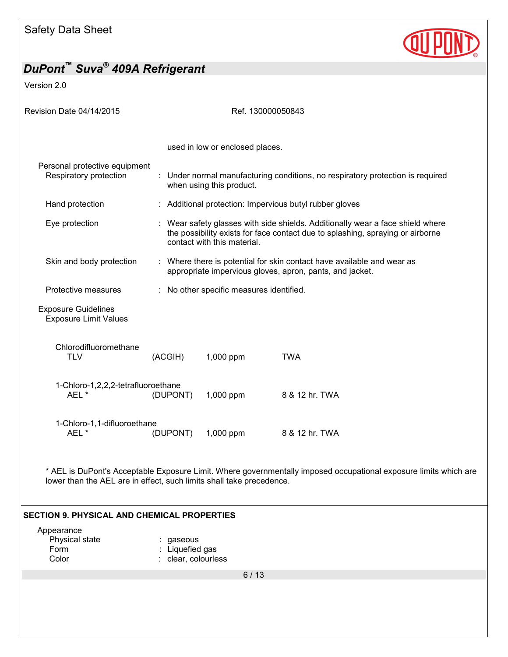

Version 2.0

| Revision Date 04/14/2015<br>Ref. 130000050843              |          |                                                                                                                                                                                                 |                                                                                |  |  |  |
|------------------------------------------------------------|----------|-------------------------------------------------------------------------------------------------------------------------------------------------------------------------------------------------|--------------------------------------------------------------------------------|--|--|--|
|                                                            |          | used in low or enclosed places.                                                                                                                                                                 |                                                                                |  |  |  |
| Personal protective equipment<br>Respiratory protection    |          | when using this product.                                                                                                                                                                        | : Under normal manufacturing conditions, no respiratory protection is required |  |  |  |
| Hand protection                                            |          | : Additional protection: Impervious butyl rubber gloves                                                                                                                                         |                                                                                |  |  |  |
| Eye protection                                             |          | : Wear safety glasses with side shields. Additionally wear a face shield where<br>the possibility exists for face contact due to splashing, spraying or airborne<br>contact with this material. |                                                                                |  |  |  |
| Skin and body protection                                   |          | : Where there is potential for skin contact have available and wear as<br>appropriate impervious gloves, apron, pants, and jacket.                                                              |                                                                                |  |  |  |
| Protective measures                                        |          | : No other specific measures identified.                                                                                                                                                        |                                                                                |  |  |  |
| <b>Exposure Guidelines</b><br><b>Exposure Limit Values</b> |          |                                                                                                                                                                                                 |                                                                                |  |  |  |
| Chlorodifluoromethane<br><b>TLV</b>                        | (ACGIH)  | 1,000 ppm                                                                                                                                                                                       | <b>TWA</b>                                                                     |  |  |  |
| 1-Chloro-1,2,2,2-tetrafluoroethane<br>AEL*                 | (DUPONT) | 1,000 ppm                                                                                                                                                                                       | 8 & 12 hr. TWA                                                                 |  |  |  |
| 1-Chloro-1,1-difluoroethane<br>AEL*                        | (DUPONT) | 1,000 ppm                                                                                                                                                                                       | 8 & 12 hr. TWA                                                                 |  |  |  |

\* AEL is DuPont's Acceptable Exposure Limit. Where governmentally imposed occupational exposure limits which are lower than the AEL are in effect, such limits shall take precedence.

#### **SECTION 9. PHYSICAL AND CHEMICAL PROPERTIES**

| Appearance     |                     |
|----------------|---------------------|
| Physical state | : gaseous           |
| Form           | : Liquefied gas     |
| Color          | : clear, colourless |
|                |                     |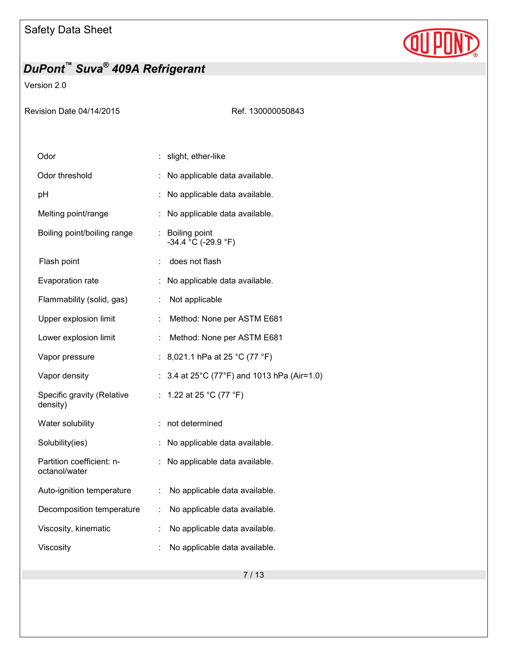

Version 2.0

Ref. 130000050843

| Odor                                       |                      | slight, ether-like                        |
|--------------------------------------------|----------------------|-------------------------------------------|
| Odor threshold                             |                      | No applicable data available.             |
| рH                                         | ÷.                   | No applicable data available.             |
| Melting point/range                        | t.                   | No applicable data available.             |
| Boiling point/boiling range                |                      | : Boiling point<br>$-34.4 °C$ (-29.9 °F)  |
| Flash point                                | ÷                    | does not flash                            |
| Evaporation rate                           | ÷                    | No applicable data available.             |
| Flammability (solid, gas)                  | ÷                    | Not applicable                            |
| Upper explosion limit                      | t.                   | Method: None per ASTM E681                |
| Lower explosion limit                      | ÷                    | Method: None per ASTM E681                |
| Vapor pressure                             |                      | : 8,021.1 hPa at 25 °C (77 °F)            |
| Vapor density                              |                      | 3.4 at 25°C (77°F) and 1013 hPa (Air=1.0) |
| Specific gravity (Relative<br>density)     | ÷.                   | 1.22 at 25 °C (77 °F)                     |
| Water solubility                           |                      | : not determined                          |
| Solubility(ies)                            |                      | No applicable data available.             |
| Partition coefficient: n-<br>octanol/water | ÷.                   | No applicable data available.             |
| Auto-ignition temperature                  | ÷                    | No applicable data available.             |
| Decomposition temperature                  | ÷.                   | No applicable data available.             |
| Viscosity, kinematic                       | t.                   | No applicable data available.             |
| Viscosity                                  | $\ddot{\phantom{a}}$ | No applicable data available.             |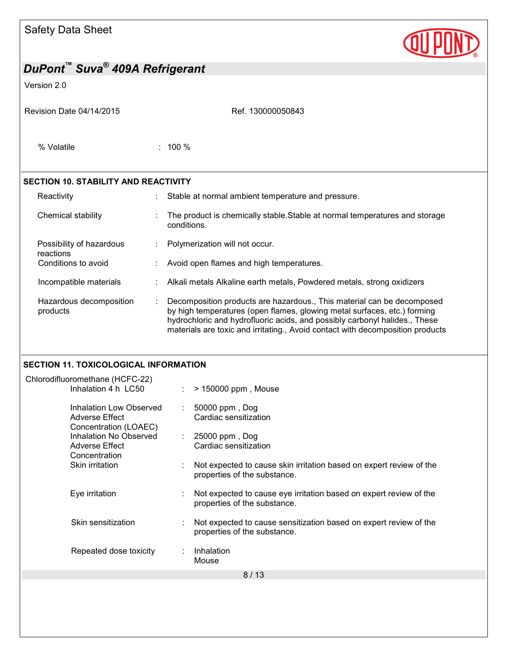| <b>Safety Data Sheet</b> |  |  |
|--------------------------|--|--|
|--------------------------|--|--|



## *DuPont™ Suva® 409A Refrigerant*  Version 2.0 Revision Date 04/14/2015 Ref. 130000050843 8 / 13 % Volatile : 100 % **SECTION 10. STABILITY AND REACTIVITY**  Reactivity **Stable at normal ambient temperature and pressure.** Stable at normal ambient temperature and pressure. Chemical stability  $\cdot$  The product is chemically stable. Stable at normal temperatures and storage conditions. Possibility of hazardous reactions : Polymerization will not occur. Conditions to avoid **interpretent in the Conditions** to avoid  $\blacksquare$  : Avoid open flames and high temperatures. Incompatible materials : Alkali metals Alkaline earth metals, Powdered metals, strong oxidizers Hazardous decomposition products : Decomposition products are hazardous., This material can be decomposed by high temperatures (open flames, glowing metal surfaces, etc.) forming hydrochloric and hydrofluoric acids, and possibly carbonyl halides., These materials are toxic and irritating., Avoid contact with decomposition products **SECTION 11. TOXICOLOGICAL INFORMATION**  Chlorodifluoromethane (HCFC-22)  $\therefore$  > 150000 ppm, Mouse Inhalation Low Observed Adverse Effect Concentration (LOAEC) : 50000 ppm , Dog Cardiac sensitization Inhalation No Observed Adverse Effect Concentration<br>Skin irritation : 25000 ppm , Dog Cardiac sensitization  $S<sub>1</sub>$  Not expected to cause skin irritation based on expert review of the properties of the substance. Eye irritation : Not expected to cause eye irritation based on expert review of the properties of the substance. Skin sensitization : Not expected to cause sensitization based on expert review of the properties of the substance. Repeated dose toxicity : Inhalation Mouse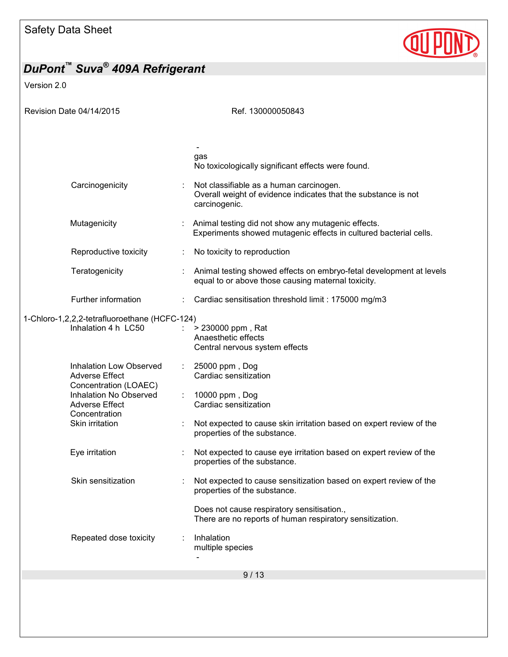

Version 2.0

| Revision Date 04/14/2015                                                                                                                                                | Ref. 130000050843                                                                                                                                                                         |
|-------------------------------------------------------------------------------------------------------------------------------------------------------------------------|-------------------------------------------------------------------------------------------------------------------------------------------------------------------------------------------|
|                                                                                                                                                                         |                                                                                                                                                                                           |
|                                                                                                                                                                         | gas<br>No toxicologically significant effects were found.                                                                                                                                 |
| Carcinogenicity                                                                                                                                                         | Not classifiable as a human carcinogen.<br>Overall weight of evidence indicates that the substance is not<br>carcinogenic.                                                                |
| Mutagenicity                                                                                                                                                            | Animal testing did not show any mutagenic effects.<br>Experiments showed mutagenic effects in cultured bacterial cells.                                                                   |
| Reproductive toxicity                                                                                                                                                   | No toxicity to reproduction                                                                                                                                                               |
| Teratogenicity                                                                                                                                                          | Animal testing showed effects on embryo-fetal development at levels<br>equal to or above those causing maternal toxicity.                                                                 |
| Further information                                                                                                                                                     | Cardiac sensitisation threshold limit : 175000 mg/m3                                                                                                                                      |
| 1-Chloro-1,2,2,2-tetrafluoroethane (HCFC-124)<br>Inhalation 4 h LC50                                                                                                    | > 230000 ppm, Rat<br>Anaesthetic effects<br>Central nervous system effects                                                                                                                |
| <b>Inhalation Low Observed</b><br><b>Adverse Effect</b><br>Concentration (LOAEC)<br>Inhalation No Observed<br><b>Adverse Effect</b><br>Concentration<br>Skin irritation | 25000 ppm, Dog<br>Cardiac sensitization<br>10000 ppm, Dog<br>Cardiac sensitization<br>Not expected to cause skin irritation based on expert review of the<br>properties of the substance. |
| Eye irritation                                                                                                                                                          | Not expected to cause eye irritation based on expert review of the<br>properties of the substance.                                                                                        |
| Skin sensitization                                                                                                                                                      | Not expected to cause sensitization based on expert review of the<br>properties of the substance.                                                                                         |
|                                                                                                                                                                         | Does not cause respiratory sensitisation.,<br>There are no reports of human respiratory sensitization.                                                                                    |
| Repeated dose toxicity                                                                                                                                                  | Inhalation<br>multiple species                                                                                                                                                            |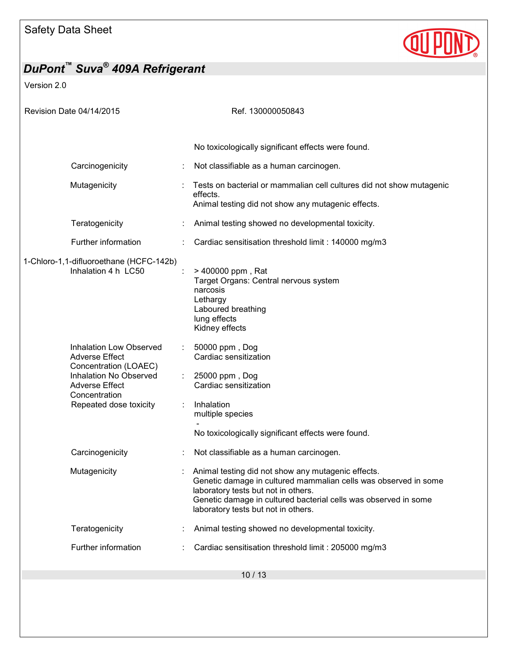

Version 2.0

| Revision Date 04/14/2015                                                                                                                                                       | Ref. 130000050843                                                                                                                                                                                                                                                      |
|--------------------------------------------------------------------------------------------------------------------------------------------------------------------------------|------------------------------------------------------------------------------------------------------------------------------------------------------------------------------------------------------------------------------------------------------------------------|
|                                                                                                                                                                                |                                                                                                                                                                                                                                                                        |
|                                                                                                                                                                                | No toxicologically significant effects were found.                                                                                                                                                                                                                     |
| Carcinogenicity                                                                                                                                                                | Not classifiable as a human carcinogen.                                                                                                                                                                                                                                |
| Mutagenicity                                                                                                                                                                   | Tests on bacterial or mammalian cell cultures did not show mutagenic<br>effects.<br>Animal testing did not show any mutagenic effects.                                                                                                                                 |
| Teratogenicity                                                                                                                                                                 | Animal testing showed no developmental toxicity.                                                                                                                                                                                                                       |
| Further information                                                                                                                                                            | Cardiac sensitisation threshold limit : 140000 mg/m3                                                                                                                                                                                                                   |
| 1-Chloro-1,1-difluoroethane (HCFC-142b)<br>Inhalation 4 h LC50                                                                                                                 | > 400000 ppm, Rat<br>Target Organs: Central nervous system<br>narcosis<br>Lethargy<br>Laboured breathing<br>lung effects<br>Kidney effects                                                                                                                             |
| <b>Inhalation Low Observed</b><br><b>Adverse Effect</b><br>Concentration (LOAEC)<br>Inhalation No Observed<br><b>Adverse Effect</b><br>Concentration<br>Repeated dose toxicity | 50000 ppm, Dog<br>Cardiac sensitization<br>25000 ppm, Dog<br>Cardiac sensitization<br>Inhalation<br>multiple species<br>No toxicologically significant effects were found.                                                                                             |
| Carcinogenicity                                                                                                                                                                | Not classifiable as a human carcinogen.                                                                                                                                                                                                                                |
| Mutagenicity                                                                                                                                                                   | Animal testing did not show any mutagenic effects.<br>Genetic damage in cultured mammalian cells was observed in some<br>laboratory tests but not in others.<br>Genetic damage in cultured bacterial cells was observed in some<br>laboratory tests but not in others. |
| Teratogenicity                                                                                                                                                                 | Animal testing showed no developmental toxicity.                                                                                                                                                                                                                       |
| Further information                                                                                                                                                            | Cardiac sensitisation threshold limit : 205000 mg/m3                                                                                                                                                                                                                   |
|                                                                                                                                                                                | 10/13                                                                                                                                                                                                                                                                  |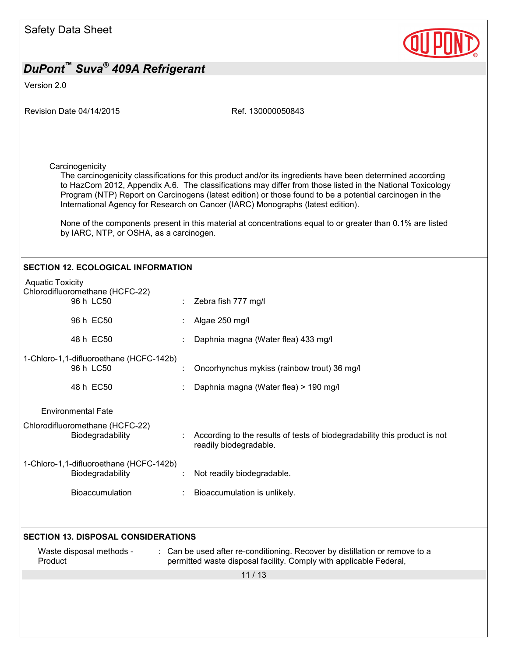

Version 2.0

| Revision Date 04/14/2015                                                | Ref. 130000050843                                                                                                                                                                                                                                                                                                                                                                                                     |  |  |
|-------------------------------------------------------------------------|-----------------------------------------------------------------------------------------------------------------------------------------------------------------------------------------------------------------------------------------------------------------------------------------------------------------------------------------------------------------------------------------------------------------------|--|--|
|                                                                         |                                                                                                                                                                                                                                                                                                                                                                                                                       |  |  |
|                                                                         |                                                                                                                                                                                                                                                                                                                                                                                                                       |  |  |
| Carcinogenicity                                                         | The carcinogenicity classifications for this product and/or its ingredients have been determined according<br>to HazCom 2012, Appendix A.6. The classifications may differ from those listed in the National Toxicology<br>Program (NTP) Report on Carcinogens (latest edition) or those found to be a potential carcinogen in the<br>International Agency for Research on Cancer (IARC) Monographs (latest edition). |  |  |
| by IARC, NTP, or OSHA, as a carcinogen.                                 | None of the components present in this material at concentrations equal to or greater than 0.1% are listed                                                                                                                                                                                                                                                                                                            |  |  |
| <b>SECTION 12. ECOLOGICAL INFORMATION</b>                               |                                                                                                                                                                                                                                                                                                                                                                                                                       |  |  |
| <b>Aquatic Toxicity</b><br>Chlorodifluoromethane (HCFC-22)<br>96 h LC50 | Zebra fish 777 mg/l                                                                                                                                                                                                                                                                                                                                                                                                   |  |  |
| 96 h EC50                                                               | Algae 250 mg/l                                                                                                                                                                                                                                                                                                                                                                                                        |  |  |
| 48 h EC50                                                               | Daphnia magna (Water flea) 433 mg/l                                                                                                                                                                                                                                                                                                                                                                                   |  |  |
| 1-Chloro-1,1-difluoroethane (HCFC-142b)<br>96 h LC50                    | Oncorhynchus mykiss (rainbow trout) 36 mg/l                                                                                                                                                                                                                                                                                                                                                                           |  |  |
| 48 h EC50                                                               | Daphnia magna (Water flea) > 190 mg/l                                                                                                                                                                                                                                                                                                                                                                                 |  |  |
| <b>Environmental Fate</b>                                               |                                                                                                                                                                                                                                                                                                                                                                                                                       |  |  |
| Chlorodifluoromethane (HCFC-22)<br>Biodegradability                     | According to the results of tests of biodegradability this product is not<br>readily biodegradable.                                                                                                                                                                                                                                                                                                                   |  |  |
| 1-Chloro-1,1-difluoroethane (HCFC-142b)<br>Biodegradability             | Not readily biodegradable                                                                                                                                                                                                                                                                                                                                                                                             |  |  |
| Bioaccumulation                                                         | Bioaccumulation is unlikely.                                                                                                                                                                                                                                                                                                                                                                                          |  |  |
|                                                                         |                                                                                                                                                                                                                                                                                                                                                                                                                       |  |  |
| <b>SECTION 13. DISPOSAL CONSIDERATIONS</b>                              |                                                                                                                                                                                                                                                                                                                                                                                                                       |  |  |
| Waste disposal methods -<br>Product                                     | : Can be used after re-conditioning. Recover by distillation or remove to a<br>permitted waste disposal facility. Comply with applicable Federal,                                                                                                                                                                                                                                                                     |  |  |
|                                                                         | 11/13                                                                                                                                                                                                                                                                                                                                                                                                                 |  |  |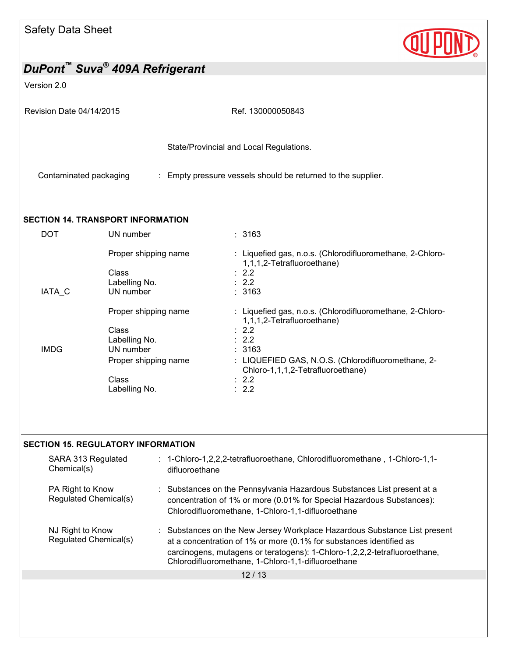

| DuPont™ Suva <sup>®</sup> 409A Refrigerant                                                                                                                                                                                                        |                                                             |                                                                                                                                                                                                                                                                                   |  |  |
|---------------------------------------------------------------------------------------------------------------------------------------------------------------------------------------------------------------------------------------------------|-------------------------------------------------------------|-----------------------------------------------------------------------------------------------------------------------------------------------------------------------------------------------------------------------------------------------------------------------------------|--|--|
| Version 2.0                                                                                                                                                                                                                                       |                                                             |                                                                                                                                                                                                                                                                                   |  |  |
| Revision Date 04/14/2015                                                                                                                                                                                                                          |                                                             | Ref. 130000050843                                                                                                                                                                                                                                                                 |  |  |
|                                                                                                                                                                                                                                                   |                                                             | State/Provincial and Local Regulations.                                                                                                                                                                                                                                           |  |  |
| Contaminated packaging                                                                                                                                                                                                                            |                                                             | : Empty pressure vessels should be returned to the supplier.                                                                                                                                                                                                                      |  |  |
|                                                                                                                                                                                                                                                   | <b>SECTION 14. TRANSPORT INFORMATION</b>                    |                                                                                                                                                                                                                                                                                   |  |  |
| <b>DOT</b>                                                                                                                                                                                                                                        | UN number                                                   | : 3163                                                                                                                                                                                                                                                                            |  |  |
|                                                                                                                                                                                                                                                   | Proper shipping name<br>Class<br>Labelling No.              | : Liquefied gas, n.o.s. (Chlorodifluoromethane, 2-Chloro-<br>1,1,1,2-Tetrafluoroethane)<br>$\therefore$ 2.2<br>: 2.2                                                                                                                                                              |  |  |
| IATA_C                                                                                                                                                                                                                                            | UN number                                                   | : 3163                                                                                                                                                                                                                                                                            |  |  |
|                                                                                                                                                                                                                                                   | Proper shipping name<br>Class<br>Labelling No.              | : Liquefied gas, n.o.s. (Chlorodifluoromethane, 2-Chloro-<br>1,1,1,2-Tetrafluoroethane)<br>: 2.2<br>: 2.2                                                                                                                                                                         |  |  |
| <b>IMDG</b>                                                                                                                                                                                                                                       | UN number<br>Proper shipping name<br>Class<br>Labelling No. | : 3163<br>: LIQUEFIED GAS, N.O.S. (Chlorodifluoromethane, 2-<br>Chloro-1,1,1,2-Tetrafluoroethane)<br>$\therefore$ 2.2<br>: 2.2                                                                                                                                                    |  |  |
|                                                                                                                                                                                                                                                   | <b>SECTION 15. REGULATORY INFORMATION</b>                   |                                                                                                                                                                                                                                                                                   |  |  |
| : 1-Chloro-1,2,2,2-tetrafluoroethane, Chlorodifluoromethane, 1-Chloro-1,1-<br>SARA 313 Regulated<br>Chemical(s)<br>difluoroethane                                                                                                                 |                                                             |                                                                                                                                                                                                                                                                                   |  |  |
| PA Right to Know<br>Substances on the Pennsylvania Hazardous Substances List present at a<br>Regulated Chemical(s)<br>concentration of 1% or more (0.01% for Special Hazardous Substances):<br>Chlorodifluoromethane, 1-Chloro-1,1-difluoroethane |                                                             |                                                                                                                                                                                                                                                                                   |  |  |
| NJ Right to Know                                                                                                                                                                                                                                  | Regulated Chemical(s)                                       | Substances on the New Jersey Workplace Hazardous Substance List present<br>at a concentration of 1% or more (0.1% for substances identified as<br>carcinogens, mutagens or teratogens): 1-Chloro-1,2,2,2-tetrafluoroethane,<br>Chlorodifluoromethane, 1-Chloro-1,1-difluoroethane |  |  |
|                                                                                                                                                                                                                                                   |                                                             | 12/13                                                                                                                                                                                                                                                                             |  |  |
|                                                                                                                                                                                                                                                   |                                                             |                                                                                                                                                                                                                                                                                   |  |  |